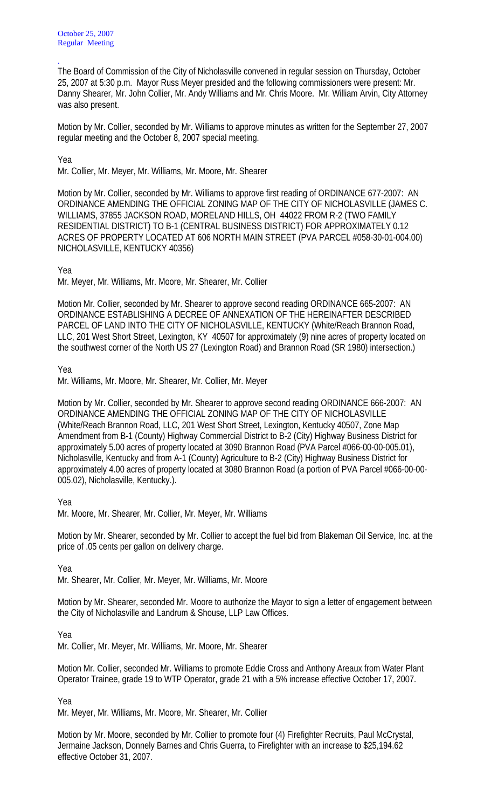The Board of Commission of the City of Nicholasville convened in regular session on Thursday, October 25, 2007 at 5:30 p.m. Mayor Russ Meyer presided and the following commissioners were present: Mr. Danny Shearer, Mr. John Collier, Mr. Andy Williams and Mr. Chris Moore. Mr. William Arvin, City Attorney was also present.

Motion by Mr. Collier, seconded by Mr. Williams to approve minutes as written for the September 27, 2007 regular meeting and the October 8, 2007 special meeting.

Yea

.

Mr. Collier, Mr. Meyer, Mr. Williams, Mr. Moore, Mr. Shearer

Motion by Mr. Collier, seconded by Mr. Williams to approve first reading of ORDINANCE 677-2007: AN ORDINANCE AMENDING THE OFFICIAL ZONING MAP OF THE CITY OF NICHOLASVILLE (JAMES C. WILLIAMS, 37855 JACKSON ROAD, MORELAND HILLS, OH 44022 FROM R-2 (TWO FAMILY RESIDENTIAL DISTRICT) TO B-1 (CENTRAL BUSINESS DISTRICT) FOR APPROXIMATELY 0.12 ACRES OF PROPERTY LOCATED AT 606 NORTH MAIN STREET (PVA PARCEL #058-30-01-004.00) NICHOLASVILLE, KENTUCKY 40356)

Yea

Mr. Meyer, Mr. Williams, Mr. Moore, Mr. Shearer, Mr. Collier

Motion Mr. Collier, seconded by Mr. Shearer to approve second reading ORDINANCE 665-2007: AN ORDINANCE ESTABLISHING A DECREE OF ANNEXATION OF THE HEREINAFTER DESCRIBED PARCEL OF LAND INTO THE CITY OF NICHOLASVILLE, KENTUCKY (White/Reach Brannon Road, LLC, 201 West Short Street, Lexington, KY 40507 for approximately (9) nine acres of property located on the southwest corner of the North US 27 (Lexington Road) and Brannon Road (SR 1980) intersection.)

Yea

Mr. Williams, Mr. Moore, Mr. Shearer, Mr. Collier, Mr. Meyer

Motion by Mr. Collier, seconded by Mr. Shearer to approve second reading ORDINANCE 666-2007: AN ORDINANCE AMENDING THE OFFICIAL ZONING MAP OF THE CITY OF NICHOLASVILLE (White/Reach Brannon Road, LLC, 201 West Short Street, Lexington, Kentucky 40507, Zone Map Amendment from B-1 (County) Highway Commercial District to B-2 (City) Highway Business District for approximately 5.00 acres of property located at 3090 Brannon Road (PVA Parcel #066-00-00-005.01), Nicholasville, Kentucky and from A-1 (County) Agriculture to B-2 (City) Highway Business District for approximately 4.00 acres of property located at 3080 Brannon Road (a portion of PVA Parcel #066-00-00- 005.02), Nicholasville, Kentucky.).

Yea

Mr. Moore, Mr. Shearer, Mr. Collier, Mr. Meyer, Mr. Williams

Motion by Mr. Shearer, seconded by Mr. Collier to accept the fuel bid from Blakeman Oil Service, Inc. at the price of .05 cents per gallon on delivery charge.

Yea

Mr. Shearer, Mr. Collier, Mr. Meyer, Mr. Williams, Mr. Moore

Motion by Mr. Shearer, seconded Mr. Moore to authorize the Mayor to sign a letter of engagement between the City of Nicholasville and Landrum & Shouse, LLP Law Offices.

Yea

Mr. Collier, Mr. Meyer, Mr. Williams, Mr. Moore, Mr. Shearer

Motion Mr. Collier, seconded Mr. Williams to promote Eddie Cross and Anthony Areaux from Water Plant Operator Trainee, grade 19 to WTP Operator, grade 21 with a 5% increase effective October 17, 2007.

Yea

Mr. Meyer, Mr. Williams, Mr. Moore, Mr. Shearer, Mr. Collier

Motion by Mr. Moore, seconded by Mr. Collier to promote four (4) Firefighter Recruits, Paul McCrystal, Jermaine Jackson, Donnely Barnes and Chris Guerra, to Firefighter with an increase to \$25,194.62 effective October 31, 2007.